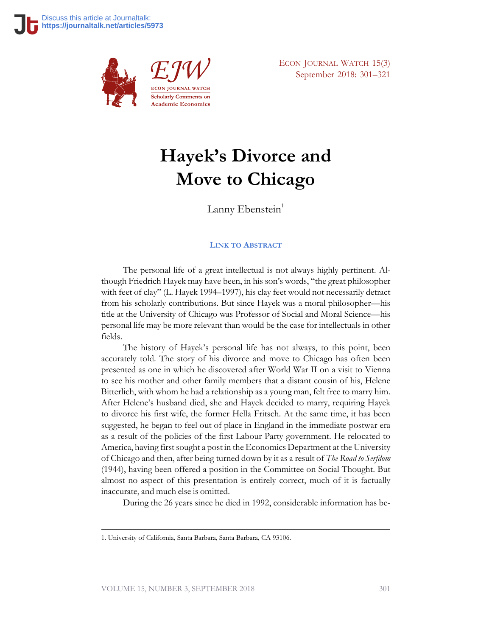

**Scholarly Comments on Academic Economics**  ECON JOURNAL WATCH 15(3) September 2018: 301–321

# **Hayek's Divorce and Move to Chicago**

Lanny Ebenstein $<sup>1</sup>$ </sup>

#### **LINK TO A[BSTRACT](https://econjwatch.org/1134)**

The personal life of a great intellectual is not always highly pertinent. Although Friedrich Hayek may have been, in his son's words, "the great philosopher with feet of clay" (L. Hayek 1994–1997), his clay feet would not necessarily detract from his scholarly contributions. But since Hayek was a moral philosopher—his title at the University of Chicago was Professor of Social and Moral Science—his personal life may be more relevant than would be the case for intellectuals in other fields.

The history of Hayek's personal life has not always, to this point, been accurately told. The story of his divorce and move to Chicago has often been presented as one in which he discovered after World War II on a visit to Vienna to see his mother and other family members that a distant cousin of his, Helene Bitterlich, with whom he had a relationship as a young man, felt free to marry him. After Helene's husband died, she and Hayek decided to marry, requiring Hayek to divorce his first wife, the former Hella Fritsch. At the same time, it has been suggested, he began to feel out of place in England in the immediate postwar era as a result of the policies of the first Labour Party government. He relocated to America, having first sought a post in the Economics Department at the University of Chicago and then, after being turned down by it as a result of *The Road to Serfdom* (1944), having been offered a position in the Committee on Social Thought. But almost no aspect of this presentation is entirely correct, much of it is factually inaccurate, and much else is omitted.

During the 26 years since he died in 1992, considerable information has be-

<sup>1.</sup> University of California, Santa Barbara, Santa Barbara, CA 93106.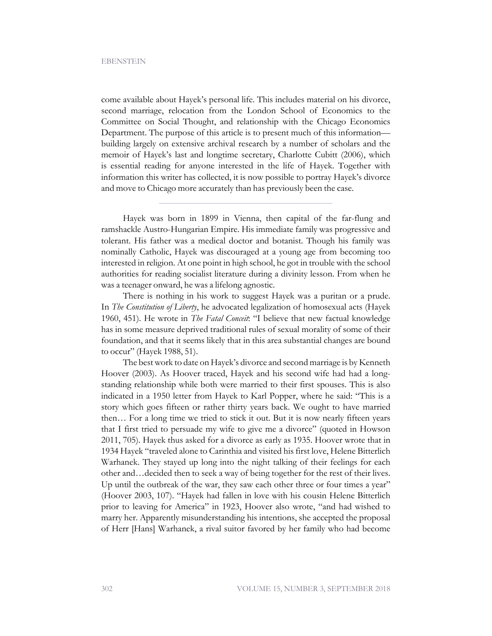come available about Hayek's personal life. This includes material on his divorce, second marriage, relocation from the London School of Economics to the Committee on Social Thought, and relationship with the Chicago Economics Department. The purpose of this article is to present much of this information building largely on extensive archival research by a number of scholars and the memoir of Hayek's last and longtime secretary, Charlotte Cubitt (2006), which is essential reading for anyone interested in the life of Hayek. Together with information this writer has collected, it is now possible to portray Hayek's divorce and move to Chicago more accurately than has previously been the case.

Hayek was born in 1899 in Vienna, then capital of the far-flung and ramshackle Austro-Hungarian Empire. His immediate family was progressive and tolerant. His father was a medical doctor and botanist. Though his family was nominally Catholic, Hayek was discouraged at a young age from becoming too interested in religion. At one point in high school, he got in trouble with the school authorities for reading socialist literature during a divinity lesson. From when he was a teenager onward, he was a lifelong agnostic.

There is nothing in his work to suggest Hayek was a puritan or a prude. In *The Constitution of Liberty*, he advocated legalization of homosexual acts (Hayek 1960, 451). He wrote in *The Fatal Conceit*: "I believe that new factual knowledge has in some measure deprived traditional rules of sexual morality of some of their foundation, and that it seems likely that in this area substantial changes are bound to occur" (Hayek 1988, 51).

The best work to date on Hayek's divorce and second marriage is by Kenneth Hoover (2003). As Hoover traced, Hayek and his second wife had had a longstanding relationship while both were married to their first spouses. This is also indicated in a 1950 letter from Hayek to Karl Popper, where he said: "This is a story which goes fifteen or rather thirty years back. We ought to have married then… For a long time we tried to stick it out. But it is now nearly fifteen years that I first tried to persuade my wife to give me a divorce" (quoted in Howson 2011, 705). Hayek thus asked for a divorce as early as 1935. Hoover wrote that in 1934 Hayek "traveled alone to Carinthia and visited his first love, Helene Bitterlich Warhanek. They stayed up long into the night talking of their feelings for each other and…decided then to seek a way of being together for the rest of their lives. Up until the outbreak of the war, they saw each other three or four times a year" (Hoover 2003, 107). "Hayek had fallen in love with his cousin Helene Bitterlich prior to leaving for America" in 1923, Hoover also wrote, "and had wished to marry her. Apparently misunderstanding his intentions, she accepted the proposal of Herr [Hans] Warhanek, a rival suitor favored by her family who had become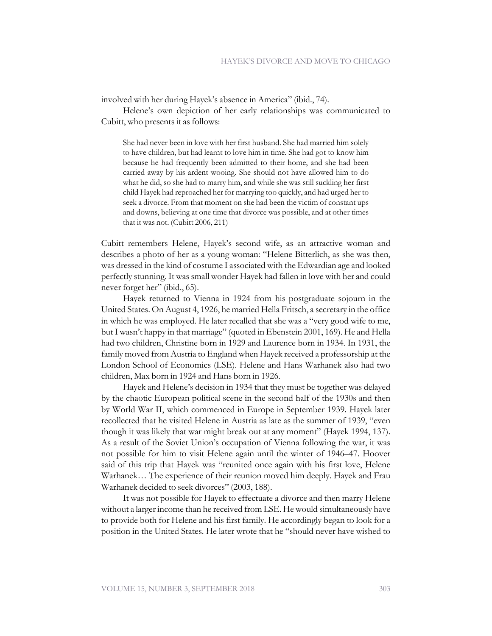involved with her during Hayek's absence in America" (ibid., 74).

Helene's own depiction of her early relationships was communicated to Cubitt, who presents it as follows:

She had never been in love with her first husband. She had married him solely to have children, but had learnt to love him in time. She had got to know him because he had frequently been admitted to their home, and she had been carried away by his ardent wooing. She should not have allowed him to do what he did, so she had to marry him, and while she was still suckling her first child Hayek had reproached her for marrying too quickly, and had urged her to seek a divorce. From that moment on she had been the victim of constant ups and downs, believing at one time that divorce was possible, and at other times that it was not. (Cubitt 2006, 211)

Cubitt remembers Helene, Hayek's second wife, as an attractive woman and describes a photo of her as a young woman: "Helene Bitterlich, as she was then, was dressed in the kind of costume I associated with the Edwardian age and looked perfectly stunning. It was small wonder Hayek had fallen in love with her and could never forget her" (ibid., 65).

Hayek returned to Vienna in 1924 from his postgraduate sojourn in the United States. On August 4, 1926, he married Hella Fritsch, a secretary in the office in which he was employed. He later recalled that she was a "very good wife to me, but I wasn't happy in that marriage" (quoted in Ebenstein 2001, 169). He and Hella had two children, Christine born in 1929 and Laurence born in 1934. In 1931, the family moved from Austria to England when Hayek received a professorship at the London School of Economics (LSE). Helene and Hans Warhanek also had two children, Max born in 1924 and Hans born in 1926.

Hayek and Helene's decision in 1934 that they must be together was delayed by the chaotic European political scene in the second half of the 1930s and then by World War II, which commenced in Europe in September 1939. Hayek later recollected that he visited Helene in Austria as late as the summer of 1939, "even though it was likely that war might break out at any moment" (Hayek 1994, 137). As a result of the Soviet Union's occupation of Vienna following the war, it was not possible for him to visit Helene again until the winter of 1946–47. Hoover said of this trip that Hayek was "reunited once again with his first love, Helene Warhanek… The experience of their reunion moved him deeply. Hayek and Frau Warhanek decided to seek divorces" (2003, 188).

It was not possible for Hayek to effectuate a divorce and then marry Helene without a larger income than he received from LSE. He would simultaneously have to provide both for Helene and his first family. He accordingly began to look for a position in the United States. He later wrote that he "should never have wished to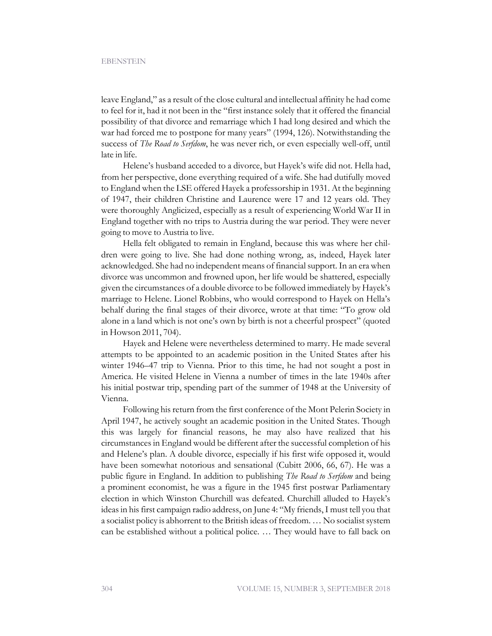leave England," as a result of the close cultural and intellectual affinity he had come to feel for it, had it not been in the "first instance solely that it offered the financial possibility of that divorce and remarriage which I had long desired and which the war had forced me to postpone for many years" (1994, 126). Notwithstanding the success of *The Road to Serfdom*, he was never rich, or even especially well-off, until late in life.

Helene's husband acceded to a divorce, but Hayek's wife did not. Hella had, from her perspective, done everything required of a wife. She had dutifully moved to England when the LSE offered Hayek a professorship in 1931. At the beginning of 1947, their children Christine and Laurence were 17 and 12 years old. They were thoroughly Anglicized, especially as a result of experiencing World War II in England together with no trips to Austria during the war period. They were never going to move to Austria to live.

Hella felt obligated to remain in England, because this was where her children were going to live. She had done nothing wrong, as, indeed, Hayek later acknowledged. She had no independent means of financial support. In an era when divorce was uncommon and frowned upon, her life would be shattered, especially given the circumstances of a double divorce to be followed immediately by Hayek's marriage to Helene. Lionel Robbins, who would correspond to Hayek on Hella's behalf during the final stages of their divorce, wrote at that time: "To grow old alone in a land which is not one's own by birth is not a cheerful prospect" (quoted in Howson 2011, 704).

Hayek and Helene were nevertheless determined to marry. He made several attempts to be appointed to an academic position in the United States after his winter 1946–47 trip to Vienna. Prior to this time, he had not sought a post in America. He visited Helene in Vienna a number of times in the late 1940s after his initial postwar trip, spending part of the summer of 1948 at the University of Vienna.

Following his return from the first conference of the Mont Pelerin Society in April 1947, he actively sought an academic position in the United States. Though this was largely for financial reasons, he may also have realized that his circumstances in England would be different after the successful completion of his and Helene's plan. A double divorce, especially if his first wife opposed it, would have been somewhat notorious and sensational (Cubitt 2006, 66, 67). He was a public figure in England. In addition to publishing *The Road to Serfdom* and being a prominent economist, he was a figure in the 1945 first postwar Parliamentary election in which Winston Churchill was defeated. Churchill alluded to Hayek's ideas in his first campaign radio address, on June 4: "My friends, I must tell you that a socialist policy is abhorrent to the British ideas of freedom. … No socialist system can be established without a political police. … They would have to fall back on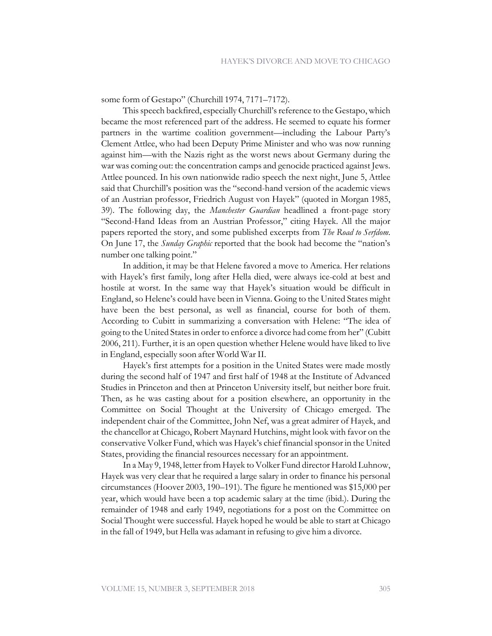some form of Gestapo" (Churchill 1974, 7171–7172).

This speech backfired, especially Churchill's reference to the Gestapo, which became the most referenced part of the address. He seemed to equate his former partners in the wartime coalition government—including the Labour Party's Clement Attlee, who had been Deputy Prime Minister and who was now running against him—with the Nazis right as the worst news about Germany during the war was coming out: the concentration camps and genocide practiced against Jews. Attlee pounced. In his own nationwide radio speech the next night, June 5, Attlee said that Churchill's position was the "second-hand version of the academic views of an Austrian professor, Friedrich August von Hayek" (quoted in Morgan 1985, 39). The following day, the *Manchester Guardian* headlined a front-page story "Second-Hand Ideas from an Austrian Professor," citing Hayek. All the major papers reported the story, and some published excerpts from *The Road to Serfdom*. On June 17, the *Sunday Graphic* reported that the book had become the "nation's number one talking point."

In addition, it may be that Helene favored a move to America. Her relations with Hayek's first family, long after Hella died, were always ice-cold at best and hostile at worst. In the same way that Hayek's situation would be difficult in England, so Helene's could have been in Vienna. Going to the United States might have been the best personal, as well as financial, course for both of them. According to Cubitt in summarizing a conversation with Helene: "The idea of going to the United States in order to enforce a divorce had come from her" (Cubitt 2006, 211). Further, it is an open question whether Helene would have liked to live in England, especially soon after World War II.

Hayek's first attempts for a position in the United States were made mostly during the second half of 1947 and first half of 1948 at the Institute of Advanced Studies in Princeton and then at Princeton University itself, but neither bore fruit. Then, as he was casting about for a position elsewhere, an opportunity in the Committee on Social Thought at the University of Chicago emerged. The independent chair of the Committee, John Nef, was a great admirer of Hayek, and the chancellor at Chicago, Robert Maynard Hutchins, might look with favor on the conservative Volker Fund, which was Hayek's chief financial sponsor in the United States, providing the financial resources necessary for an appointment.

In a May 9, 1948, letter from Hayek to Volker Fund director Harold Luhnow, Hayek was very clear that he required a large salary in order to finance his personal circumstances (Hoover 2003, 190–191). The figure he mentioned was \$15,000 per year, which would have been a top academic salary at the time (ibid.). During the remainder of 1948 and early 1949, negotiations for a post on the Committee on Social Thought were successful. Hayek hoped he would be able to start at Chicago in the fall of 1949, but Hella was adamant in refusing to give him a divorce.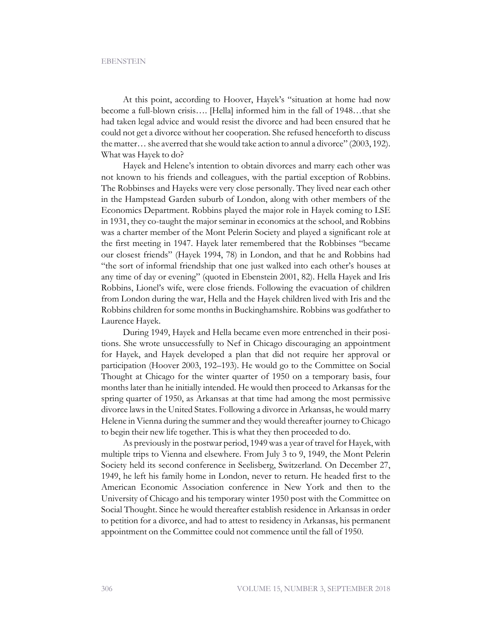At this point, according to Hoover, Hayek's "situation at home had now become a full-blown crisis…. [Hella] informed him in the fall of 1948…that she had taken legal advice and would resist the divorce and had been ensured that he could not get a divorce without her cooperation. She refused henceforth to discuss the matter… she averred that she would take action to annul a divorce" (2003, 192). What was Hayek to do?

Hayek and Helene's intention to obtain divorces and marry each other was not known to his friends and colleagues, with the partial exception of Robbins. The Robbinses and Hayeks were very close personally. They lived near each other in the Hampstead Garden suburb of London, along with other members of the Economics Department. Robbins played the major role in Hayek coming to LSE in 1931, they co-taught the major seminar in economics at the school, and Robbins was a charter member of the Mont Pelerin Society and played a significant role at the first meeting in 1947. Hayek later remembered that the Robbinses "became our closest friends" (Hayek 1994, 78) in London, and that he and Robbins had "the sort of informal friendship that one just walked into each other's houses at any time of day or evening" (quoted in Ebenstein 2001, 82). Hella Hayek and Iris Robbins, Lionel's wife, were close friends. Following the evacuation of children from London during the war, Hella and the Hayek children lived with Iris and the Robbins children for some months in Buckinghamshire. Robbins was godfather to Laurence Hayek.

During 1949, Hayek and Hella became even more entrenched in their positions. She wrote unsuccessfully to Nef in Chicago discouraging an appointment for Hayek, and Hayek developed a plan that did not require her approval or participation (Hoover 2003, 192–193). He would go to the Committee on Social Thought at Chicago for the winter quarter of 1950 on a temporary basis, four months later than he initially intended. He would then proceed to Arkansas for the spring quarter of 1950, as Arkansas at that time had among the most permissive divorce laws in the United States. Following a divorce in Arkansas, he would marry Helene in Vienna during the summer and they would thereafter journey to Chicago to begin their new life together. This is what they then proceeded to do.

As previously in the postwar period, 1949 was a year of travel for Hayek, with multiple trips to Vienna and elsewhere. From July 3 to 9, 1949, the Mont Pelerin Society held its second conference in Seelisberg, Switzerland. On December 27, 1949, he left his family home in London, never to return. He headed first to the American Economic Association conference in New York and then to the University of Chicago and his temporary winter 1950 post with the Committee on Social Thought. Since he would thereafter establish residence in Arkansas in order to petition for a divorce, and had to attest to residency in Arkansas, his permanent appointment on the Committee could not commence until the fall of 1950.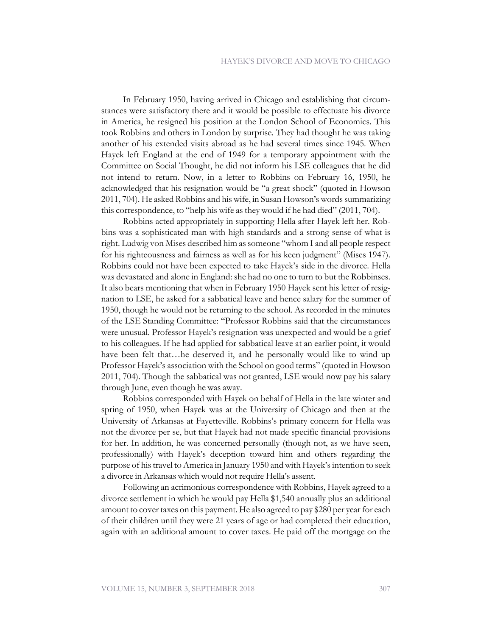In February 1950, having arrived in Chicago and establishing that circumstances were satisfactory there and it would be possible to effectuate his divorce in America, he resigned his position at the London School of Economics. This took Robbins and others in London by surprise. They had thought he was taking another of his extended visits abroad as he had several times since 1945. When Hayek left England at the end of 1949 for a temporary appointment with the Committee on Social Thought, he did not inform his LSE colleagues that he did not intend to return. Now, in a letter to Robbins on February 16, 1950, he acknowledged that his resignation would be "a great shock" (quoted in Howson 2011, 704). He asked Robbins and his wife, in Susan Howson's words summarizing this correspondence, to "help his wife as they would if he had died" (2011, 704).

Robbins acted appropriately in supporting Hella after Hayek left her. Robbins was a sophisticated man with high standards and a strong sense of what is right. Ludwig von Mises described him as someone "whom I and all people respect for his righteousness and fairness as well as for his keen judgment" (Mises 1947). Robbins could not have been expected to take Hayek's side in the divorce. Hella was devastated and alone in England: she had no one to turn to but the Robbinses. It also bears mentioning that when in February 1950 Hayek sent his letter of resignation to LSE, he asked for a sabbatical leave and hence salary for the summer of 1950, though he would not be returning to the school. As recorded in the minutes of the LSE Standing Committee: "Professor Robbins said that the circumstances were unusual. Professor Hayek's resignation was unexpected and would be a grief to his colleagues. If he had applied for sabbatical leave at an earlier point, it would have been felt that…he deserved it, and he personally would like to wind up Professor Hayek's association with the School on good terms" (quoted in Howson 2011, 704). Though the sabbatical was not granted, LSE would now pay his salary through June, even though he was away.

Robbins corresponded with Hayek on behalf of Hella in the late winter and spring of 1950, when Hayek was at the University of Chicago and then at the University of Arkansas at Fayetteville. Robbins's primary concern for Hella was not the divorce per se, but that Hayek had not made specific financial provisions for her. In addition, he was concerned personally (though not, as we have seen, professionally) with Hayek's deception toward him and others regarding the purpose of his travel to America in January 1950 and with Hayek's intention to seek a divorce in Arkansas which would not require Hella's assent.

Following an acrimonious correspondence with Robbins, Hayek agreed to a divorce settlement in which he would pay Hella \$1,540 annually plus an additional amount to cover taxes on this payment. He also agreed to pay \$280 per year for each of their children until they were 21 years of age or had completed their education, again with an additional amount to cover taxes. He paid off the mortgage on the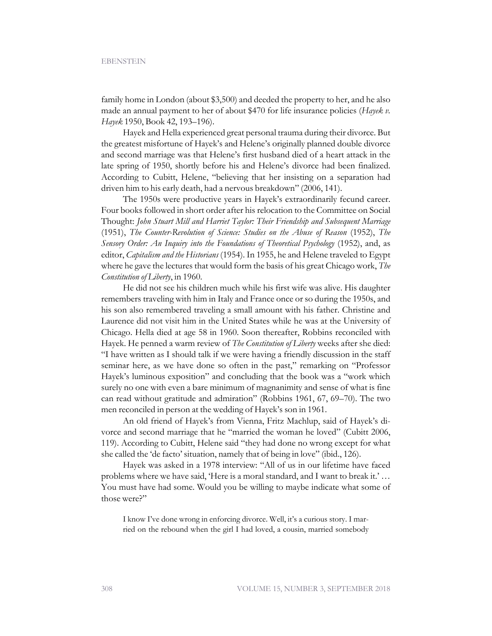family home in London (about \$3,500) and deeded the property to her, and he also made an annual payment to her of about \$470 for life insurance policies (*Hayek v. Hayek* 1950, Book 42, 193–196).

Hayek and Hella experienced great personal trauma during their divorce. But the greatest misfortune of Hayek's and Helene's originally planned double divorce and second marriage was that Helene's first husband died of a heart attack in the late spring of 1950, shortly before his and Helene's divorce had been finalized. According to Cubitt, Helene, "believing that her insisting on a separation had driven him to his early death, had a nervous breakdown" (2006, 141).

The 1950s were productive years in Hayek's extraordinarily fecund career. Four books followed in short order after his relocation to the Committee on Social Thought: *John Stuart Mill and Harriet Taylor: Their Friendship and Subsequent Marriage* (1951), *The Counter-Revolution of Science: Studies on the Abuse of Reason* (1952), *The Sensory Order: An Inquiry into the Foundations of Theoretical Psychology* (1952), and, as editor, *Capitalism and the Historians* (1954). In 1955, he and Helene traveled to Egypt where he gave the lectures that would form the basis of his great Chicago work, *The Constitution of Liberty*, in 1960.

He did not see his children much while his first wife was alive. His daughter remembers traveling with him in Italy and France once or so during the 1950s, and his son also remembered traveling a small amount with his father. Christine and Laurence did not visit him in the United States while he was at the University of Chicago. Hella died at age 58 in 1960. Soon thereafter, Robbins reconciled with Hayek. He penned a warm review of *The Constitution of Liberty* weeks after she died: "I have written as I should talk if we were having a friendly discussion in the staff seminar here, as we have done so often in the past," remarking on "Professor Hayek's luminous exposition" and concluding that the book was a "work which surely no one with even a bare minimum of magnanimity and sense of what is fine can read without gratitude and admiration" (Robbins 1961, 67, 69–70). The two men reconciled in person at the wedding of Hayek's son in 1961.

An old friend of Hayek's from Vienna, Fritz Machlup, said of Hayek's divorce and second marriage that he "married the woman he loved" (Cubitt 2006, 119). According to Cubitt, Helene said "they had done no wrong except for what she called the 'de facto' situation, namely that of being in love" (ibid., 126).

Hayek was asked in a 1978 interview: "All of us in our lifetime have faced problems where we have said, 'Here is a moral standard, and I want to break it.' … You must have had some. Would you be willing to maybe indicate what some of those were?"

I know I've done wrong in enforcing divorce. Well, it's a curious story. I married on the rebound when the girl I had loved, a cousin, married somebody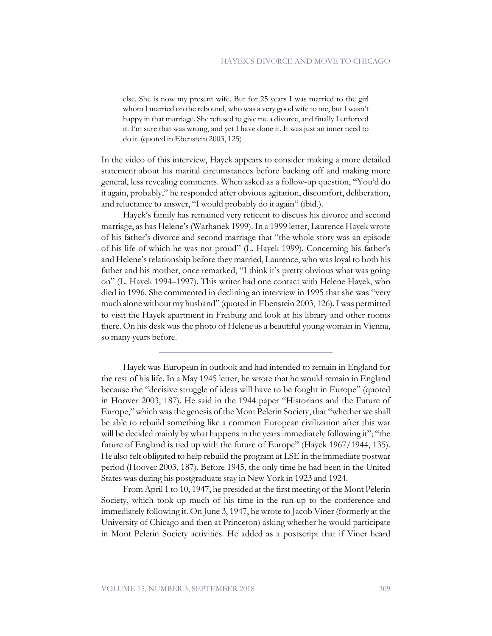else. She is now my present wife. But for 25 years I was married to the girl whom I married on the rebound, who was a very good wife to me, but I wasn't happy in that marriage. She refused to give me a divorce, and finally I enforced it. I'm sure that was wrong, and yet I have done it. It was just an inner need to do it. (quoted in Ebenstein 2003, 125)

In the video of this interview, Hayek appears to consider making a more detailed statement about his marital circumstances before backing off and making more general, less revealing comments. When asked as a follow-up question, "You'd do it again, probably," he responded after obvious agitation, discomfort, deliberation, and reluctance to answer, "I would probably do it again" (ibid.).

Hayek's family has remained very reticent to discuss his divorce and second marriage, as has Helene's (Warhanek 1999). In a 1999 letter, Laurence Hayek wrote of his father's divorce and second marriage that "the whole story was an episode of his life of which he was not proud" (L. Hayek 1999). Concerning his father's and Helene's relationship before they married, Laurence, who was loyal to both his father and his mother, once remarked, "I think it's pretty obvious what was going on" (L. Hayek 1994–1997). This writer had one contact with Helene Hayek, who died in 1996. She commented in declining an interview in 1995 that she was "very much alone without my husband" (quoted in Ebenstein 2003, 126). I was permitted to visit the Hayek apartment in Freiburg and look at his library and other rooms there. On his desk was the photo of Helene as a beautiful young woman in Vienna, so many years before.

Hayek was European in outlook and had intended to remain in England for the rest of his life. In a May 1945 letter, he wrote that he would remain in England because the "decisive struggle of ideas will have to be fought in Europe" (quoted in Hoover 2003, 187). He said in the 1944 paper "Historians and the Future of Europe," which was the genesis of the Mont Pelerin Society, that "whether we shall be able to rebuild something like a common European civilization after this war will be decided mainly by what happens in the years immediately following it"; "the future of England is tied up with the future of Europe" (Hayek 1967/1944, 135). He also felt obligated to help rebuild the program at LSE in the immediate postwar period (Hoover 2003, 187). Before 1945, the only time he had been in the United States was during his postgraduate stay in New York in 1923 and 1924.

From April 1 to 10, 1947, he presided at the first meeting of the Mont Pelerin Society, which took up much of his time in the run-up to the conference and immediately following it. On June 3, 1947, he wrote to Jacob Viner (formerly at the University of Chicago and then at Princeton) asking whether he would participate in Mont Pelerin Society activities. He added as a postscript that if Viner heard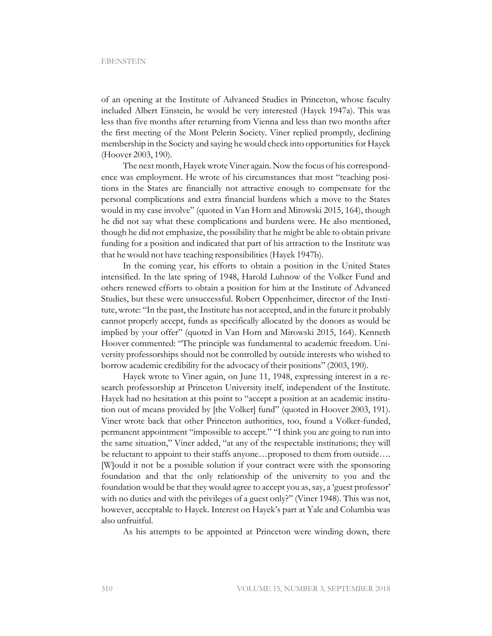of an opening at the Institute of Advanced Studies in Princeton, whose faculty included Albert Einstein, he would be very interested (Hayek 1947a). This was less than five months after returning from Vienna and less than two months after the first meeting of the Mont Pelerin Society. Viner replied promptly, declining membership in the Society and saying he would check into opportunities for Hayek (Hoover 2003, 190).

The next month, Hayek wrote Viner again. Now the focus of his correspondence was employment. He wrote of his circumstances that most "teaching positions in the States are financially not attractive enough to compensate for the personal complications and extra financial burdens which a move to the States would in my case involve" (quoted in Van Horn and Mirowski 2015, 164), though he did not say what these complications and burdens were. He also mentioned, though he did not emphasize, the possibility that he might be able to obtain private funding for a position and indicated that part of his attraction to the Institute was that he would not have teaching responsibilities (Hayek 1947b).

In the coming year, his efforts to obtain a position in the United States intensified. In the late spring of 1948, Harold Luhnow of the Volker Fund and others renewed efforts to obtain a position for him at the Institute of Advanced Studies, but these were unsuccessful. Robert Oppenheimer, director of the Institute, wrote: "In the past, the Institute has not accepted, and in the future it probably cannot properly accept, funds as specifically allocated by the donors as would be implied by your offer" (quoted in Van Horn and Mirowski 2015, 164). Kenneth Hoover commented: "The principle was fundamental to academic freedom. University professorships should not be controlled by outside interests who wished to borrow academic credibility for the advocacy of their positions" (2003, 190).

Hayek wrote to Viner again, on June 11, 1948, expressing interest in a research professorship at Princeton University itself, independent of the Institute. Hayek had no hesitation at this point to "accept a position at an academic institution out of means provided by [the Volker] fund" (quoted in Hoover 2003, 191). Viner wrote back that other Princeton authorities, too, found a Volker-funded, permanent appointment "impossible to accept." "I think you are going to run into the same situation," Viner added, "at any of the respectable institutions; they will be reluctant to appoint to their staffs anyone…proposed to them from outside…. [W]ould it not be a possible solution if your contract were with the sponsoring foundation and that the only relationship of the university to you and the foundation would be that they would agree to accept you as, say, a 'guest professor' with no duties and with the privileges of a guest only?" (Viner 1948). This was not, however, acceptable to Hayek. Interest on Hayek's part at Yale and Columbia was also unfruitful.

As his attempts to be appointed at Princeton were winding down, there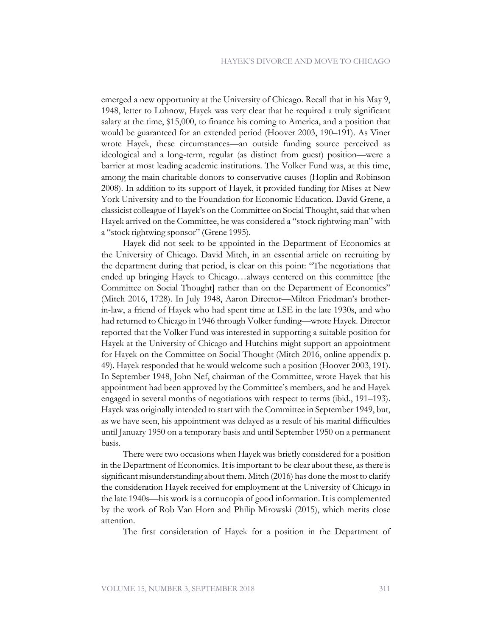emerged a new opportunity at the University of Chicago. Recall that in his May 9, 1948, letter to Luhnow, Hayek was very clear that he required a truly significant salary at the time, \$15,000, to finance his coming to America, and a position that would be guaranteed for an extended period (Hoover 2003, 190–191). As Viner wrote Hayek, these circumstances—an outside funding source perceived as ideological and a long-term, regular (as distinct from guest) position—were a barrier at most leading academic institutions. The Volker Fund was, at this time, among the main charitable donors to conservative causes (Hoplin and Robinson 2008). In addition to its support of Hayek, it provided funding for Mises at New York University and to the Foundation for Economic Education. David Grene, a classicist colleague of Hayek's on the Committee on Social Thought, said that when Hayek arrived on the Committee, he was considered a "stock rightwing man" with a "stock rightwing sponsor" (Grene 1995).

Hayek did not seek to be appointed in the Department of Economics at the University of Chicago. David Mitch, in an essential article on recruiting by the department during that period, is clear on this point: "The negotiations that ended up bringing Hayek to Chicago…always centered on this committee [the Committee on Social Thought] rather than on the Department of Economics" (Mitch 2016, 1728). In July 1948, Aaron Director—Milton Friedman's brotherin-law, a friend of Hayek who had spent time at LSE in the late 1930s, and who had returned to Chicago in 1946 through Volker funding—wrote Hayek. Director reported that the Volker Fund was interested in supporting a suitable position for Hayek at the University of Chicago and Hutchins might support an appointment for Hayek on the Committee on Social Thought (Mitch 2016, online appendix p. 49). Hayek responded that he would welcome such a position (Hoover 2003, 191). In September 1948, John Nef, chairman of the Committee, wrote Hayek that his appointment had been approved by the Committee's members, and he and Hayek engaged in several months of negotiations with respect to terms (ibid., 191–193). Hayek was originally intended to start with the Committee in September 1949, but, as we have seen, his appointment was delayed as a result of his marital difficulties until January 1950 on a temporary basis and until September 1950 on a permanent basis.

There were two occasions when Hayek was briefly considered for a position in the Department of Economics. It is important to be clear about these, as there is significant misunderstanding about them. Mitch (2016) has done the most to clarify the consideration Hayek received for employment at the University of Chicago in the late 1940s—his work is a cornucopia of good information. It is complemented by the work of Rob Van Horn and Philip Mirowski (2015), which merits close attention.

The first consideration of Hayek for a position in the Department of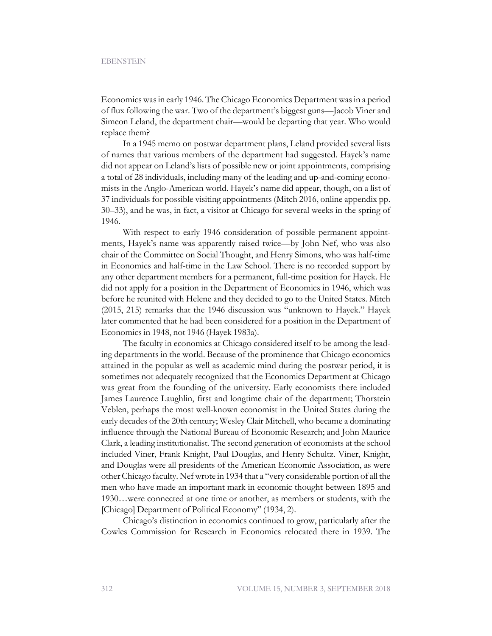Economics was in early 1946. The Chicago Economics Department was in a period of flux following the war. Two of the department's biggest guns—Jacob Viner and Simeon Leland, the department chair—would be departing that year. Who would replace them?

In a 1945 memo on postwar department plans, Leland provided several lists of names that various members of the department had suggested. Hayek's name did not appear on Leland's lists of possible new or joint appointments, comprising a total of 28 individuals, including many of the leading and up-and-coming economists in the Anglo-American world. Hayek's name did appear, though, on a list of 37 individuals for possible visiting appointments (Mitch 2016, online appendix pp. 30–33), and he was, in fact, a visitor at Chicago for several weeks in the spring of 1946.

With respect to early 1946 consideration of possible permanent appointments, Hayek's name was apparently raised twice—by John Nef, who was also chair of the Committee on Social Thought, and Henry Simons, who was half-time in Economics and half-time in the Law School. There is no recorded support by any other department members for a permanent, full-time position for Hayek. He did not apply for a position in the Department of Economics in 1946, which was before he reunited with Helene and they decided to go to the United States. Mitch (2015, 215) remarks that the 1946 discussion was "unknown to Hayek." Hayek later commented that he had been considered for a position in the Department of Economics in 1948, not 1946 (Hayek 1983a).

The faculty in economics at Chicago considered itself to be among the leading departments in the world. Because of the prominence that Chicago economics attained in the popular as well as academic mind during the postwar period, it is sometimes not adequately recognized that the Economics Department at Chicago was great from the founding of the university. Early economists there included James Laurence Laughlin, first and longtime chair of the department; Thorstein Veblen, perhaps the most well-known economist in the United States during the early decades of the 20th century; Wesley Clair Mitchell, who became a dominating influence through the National Bureau of Economic Research; and John Maurice Clark, a leading institutionalist. The second generation of economists at the school included Viner, Frank Knight, Paul Douglas, and Henry Schultz. Viner, Knight, and Douglas were all presidents of the American Economic Association, as were other Chicago faculty. Nef wrote in 1934 that a "very considerable portion of all the men who have made an important mark in economic thought between 1895 and 1930…were connected at one time or another, as members or students, with the [Chicago] Department of Political Economy" (1934, 2).

Chicago's distinction in economics continued to grow, particularly after the Cowles Commission for Research in Economics relocated there in 1939. The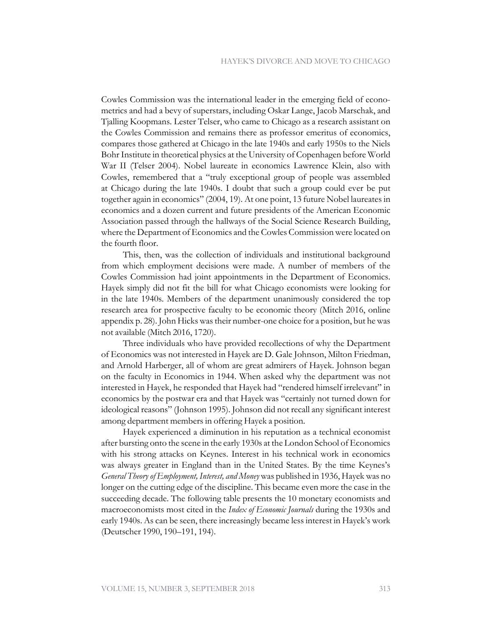Cowles Commission was the international leader in the emerging field of econometrics and had a bevy of superstars, including Oskar Lange, Jacob Marschak, and Tjalling Koopmans. Lester Telser, who came to Chicago as a research assistant on the Cowles Commission and remains there as professor emeritus of economics, compares those gathered at Chicago in the late 1940s and early 1950s to the Niels Bohr Institute in theoretical physics at the University of Copenhagen before World War II (Telser 2004). Nobel laureate in economics Lawrence Klein, also with Cowles, remembered that a "truly exceptional group of people was assembled at Chicago during the late 1940s. I doubt that such a group could ever be put together again in economics" (2004, 19). At one point, 13 future Nobel laureates in economics and a dozen current and future presidents of the American Economic Association passed through the hallways of the Social Science Research Building, where the Department of Economics and the Cowles Commission were located on the fourth floor.

This, then, was the collection of individuals and institutional background from which employment decisions were made. A number of members of the Cowles Commission had joint appointments in the Department of Economics. Hayek simply did not fit the bill for what Chicago economists were looking for in the late 1940s. Members of the department unanimously considered the top research area for prospective faculty to be economic theory (Mitch 2016, online appendix p. 28). John Hicks was their number-one choice for a position, but he was not available (Mitch 2016, 1720).

Three individuals who have provided recollections of why the Department of Economics was not interested in Hayek are D. Gale Johnson, Milton Friedman, and Arnold Harberger, all of whom are great admirers of Hayek. Johnson began on the faculty in Economics in 1944. When asked why the department was not interested in Hayek, he responded that Hayek had "rendered himself irrelevant" in economics by the postwar era and that Hayek was "certainly not turned down for ideological reasons" (Johnson 1995). Johnson did not recall any significant interest among department members in offering Hayek a position.

Hayek experienced a diminution in his reputation as a technical economist after bursting onto the scene in the early 1930s at the London School of Economics with his strong attacks on Keynes. Interest in his technical work in economics was always greater in England than in the United States. By the time Keynes's *General Theory of Employment, Interest, and Money* was published in 1936, Hayek was no longer on the cutting edge of the discipline. This became even more the case in the succeeding decade. The following table presents the 10 monetary economists and macroeconomists most cited in the *Index of Economic Journals* during the 1930s and early 1940s. As can be seen, there increasingly became less interest in Hayek's work (Deutscher 1990, 190–191, 194).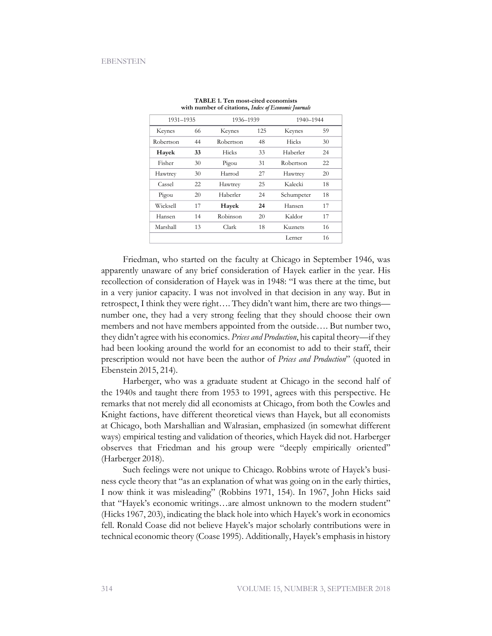| 1931-1935 |    | 1936-1939 |     | 1940-1944  |    |
|-----------|----|-----------|-----|------------|----|
| Keynes    | 66 | Keynes    | 125 | Keynes     | 59 |
| Robertson | 44 | Robertson | 48  | Hicks      | 30 |
| Hayek     | 33 | Hicks     | 33  | Haberler   | 24 |
| Fisher    | 30 | Pigou     | 31  | Robertson  | 22 |
| Hawtrey   | 30 | Harrod    | 27  | Hawtrey    | 20 |
| Cassel    | 22 | Hawtrey   | 25  | Kalecki    | 18 |
| Pigou     | 20 | Haberler  | 24  | Schumpeter | 18 |
| Wicksell  | 17 | Hayek     | 24  | Hansen     | 17 |
| Hansen    | 14 | Robinson  | 20  | Kaldor     | 17 |
| Marshall  | 13 | Clark     | 18  | Kuznets    | 16 |
|           |    |           |     | Lerner     | 16 |

|  | TABLE 1. Ten most-cited economists                   |  |  |
|--|------------------------------------------------------|--|--|
|  | with number of citations, Index of Economic Journals |  |  |

Friedman, who started on the faculty at Chicago in September 1946, was apparently unaware of any brief consideration of Hayek earlier in the year. His recollection of consideration of Hayek was in 1948: "I was there at the time, but in a very junior capacity. I was not involved in that decision in any way. But in retrospect, I think they were right…. They didn't want him, there are two things number one, they had a very strong feeling that they should choose their own members and not have members appointed from the outside…. But number two, they didn't agree with his economics. *Prices and Production*, his capital theory—if they had been looking around the world for an economist to add to their staff, their prescription would not have been the author of *Prices and Production*" (quoted in Ebenstein 2015, 214).

Harberger, who was a graduate student at Chicago in the second half of the 1940s and taught there from 1953 to 1991, agrees with this perspective. He remarks that not merely did all economists at Chicago, from both the Cowles and Knight factions, have different theoretical views than Hayek, but all economists at Chicago, both Marshallian and Walrasian, emphasized (in somewhat different ways) empirical testing and validation of theories, which Hayek did not. Harberger observes that Friedman and his group were "deeply empirically oriented" (Harberger 2018).

Such feelings were not unique to Chicago. Robbins wrote of Hayek's business cycle theory that "as an explanation of what was going on in the early thirties, I now think it was misleading" (Robbins 1971, 154). In 1967, John Hicks said that "Hayek's economic writings…are almost unknown to the modern student" (Hicks 1967, 203), indicating the black hole into which Hayek's work in economics fell. Ronald Coase did not believe Hayek's major scholarly contributions were in technical economic theory (Coase 1995). Additionally, Hayek's emphasis in history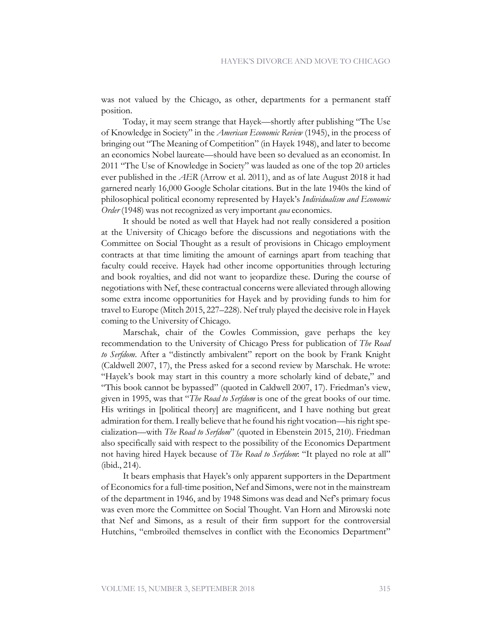was not valued by the Chicago, as other, departments for a permanent staff position.

Today, it may seem strange that Hayek—shortly after publishing "The Use of Knowledge in Society" in the *American Economic Review* (1945), in the process of bringing out "The Meaning of Competition" (in Hayek 1948), and later to become an economics Nobel laureate—should have been so devalued as an economist. In 2011 "The Use of Knowledge in Society" was lauded as one of the top 20 articles ever published in the *AER* (Arrow et al. 2011), and as of late August 2018 it had garnered nearly 16,000 Google Scholar citations. But in the late 1940s the kind of philosophical political economy represented by Hayek's *Individualism and Economic Order* (1948) was not recognized as very important *qua* economics.

It should be noted as well that Hayek had not really considered a position at the University of Chicago before the discussions and negotiations with the Committee on Social Thought as a result of provisions in Chicago employment contracts at that time limiting the amount of earnings apart from teaching that faculty could receive. Hayek had other income opportunities through lecturing and book royalties, and did not want to jeopardize these. During the course of negotiations with Nef, these contractual concerns were alleviated through allowing some extra income opportunities for Hayek and by providing funds to him for travel to Europe (Mitch 2015, 227–228). Nef truly played the decisive role in Hayek coming to the University of Chicago.

Marschak, chair of the Cowles Commission, gave perhaps the key recommendation to the University of Chicago Press for publication of *The Road to Serfdom*. After a "distinctly ambivalent" report on the book by Frank Knight (Caldwell 2007, 17), the Press asked for a second review by Marschak. He wrote: "Hayek's book may start in this country a more scholarly kind of debate," and "This book cannot be bypassed" (quoted in Caldwell 2007, 17). Friedman's view, given in 1995, was that "*The Road to Serfdom* is one of the great books of our time. His writings in [political theory] are magnificent, and I have nothing but great admiration for them. I really believe that he found his right vocation—his right specialization—with *The Road to Serfdom*" (quoted in Ebenstein 2015, 210). Friedman also specifically said with respect to the possibility of the Economics Department not having hired Hayek because of *The Road to Serfdom*: "It played no role at all" (ibid., 214).

It bears emphasis that Hayek's only apparent supporters in the Department of Economics for a full-time position, Nef and Simons, were not in the mainstream of the department in 1946, and by 1948 Simons was dead and Nef's primary focus was even more the Committee on Social Thought. Van Horn and Mirowski note that Nef and Simons, as a result of their firm support for the controversial Hutchins, "embroiled themselves in conflict with the Economics Department"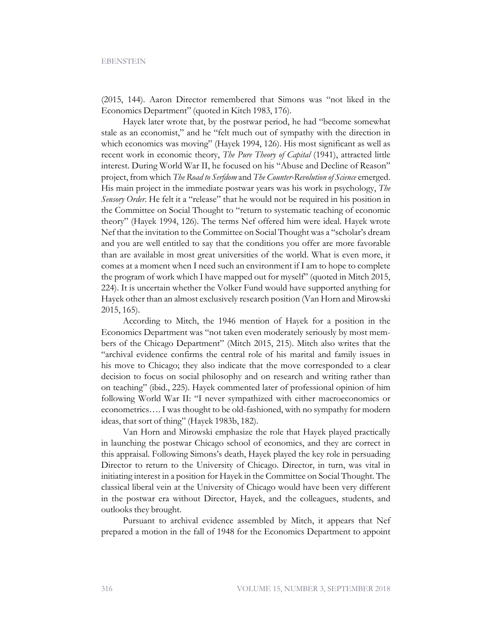(2015, 144). Aaron Director remembered that Simons was "not liked in the Economics Department" (quoted in Kitch 1983, 176).

Hayek later wrote that, by the postwar period, he had "become somewhat stale as an economist," and he "felt much out of sympathy with the direction in which economics was moving" (Hayek 1994, 126). His most significant as well as recent work in economic theory, *The Pure Theory of Capital* (1941), attracted little interest. During World War II, he focused on his "Abuse and Decline of Reason" project, from which *The Road to Serfdom* and *The Counter-Revolution of Science* emerged. His main project in the immediate postwar years was his work in psychology, *The Sensory Order*. He felt it a "release" that he would not be required in his position in the Committee on Social Thought to "return to systematic teaching of economic theory" (Hayek 1994, 126). The terms Nef offered him were ideal. Hayek wrote Nef that the invitation to the Committee on Social Thought was a "scholar's dream and you are well entitled to say that the conditions you offer are more favorable than are available in most great universities of the world. What is even more, it comes at a moment when I need such an environment if I am to hope to complete the program of work which I have mapped out for myself" (quoted in Mitch 2015, 224). It is uncertain whether the Volker Fund would have supported anything for Hayek other than an almost exclusively research position (Van Horn and Mirowski 2015, 165).

According to Mitch, the 1946 mention of Hayek for a position in the Economics Department was "not taken even moderately seriously by most members of the Chicago Department" (Mitch 2015, 215). Mitch also writes that the "archival evidence confirms the central role of his marital and family issues in his move to Chicago; they also indicate that the move corresponded to a clear decision to focus on social philosophy and on research and writing rather than on teaching" (ibid., 225). Hayek commented later of professional opinion of him following World War II: "I never sympathized with either macroeconomics or econometrics…. I was thought to be old-fashioned, with no sympathy for modern ideas, that sort of thing" (Hayek 1983b, 182).

Van Horn and Mirowski emphasize the role that Hayek played practically in launching the postwar Chicago school of economics, and they are correct in this appraisal. Following Simons's death, Hayek played the key role in persuading Director to return to the University of Chicago. Director, in turn, was vital in initiating interest in a position for Hayek in the Committee on Social Thought. The classical liberal vein at the University of Chicago would have been very different in the postwar era without Director, Hayek, and the colleagues, students, and outlooks they brought.

Pursuant to archival evidence assembled by Mitch, it appears that Nef prepared a motion in the fall of 1948 for the Economics Department to appoint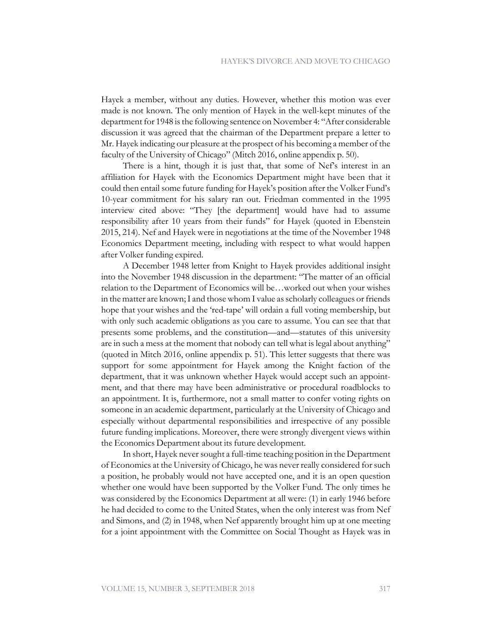Hayek a member, without any duties. However, whether this motion was ever made is not known. The only mention of Hayek in the well-kept minutes of the department for 1948 is the following sentence on November 4: "After considerable discussion it was agreed that the chairman of the Department prepare a letter to Mr. Hayek indicating our pleasure at the prospect of his becoming a member of the faculty of the University of Chicago" (Mitch 2016, online appendix p. 50).

There is a hint, though it is just that, that some of Nef's interest in an affiliation for Hayek with the Economics Department might have been that it could then entail some future funding for Hayek's position after the Volker Fund's 10-year commitment for his salary ran out. Friedman commented in the 1995 interview cited above: "They [the department] would have had to assume responsibility after 10 years from their funds" for Hayek (quoted in Ebenstein 2015, 214). Nef and Hayek were in negotiations at the time of the November 1948 Economics Department meeting, including with respect to what would happen after Volker funding expired.

A December 1948 letter from Knight to Hayek provides additional insight into the November 1948 discussion in the department: "The matter of an official relation to the Department of Economics will be…worked out when your wishes in the matter are known; I and those whom I value as scholarly colleagues or friends hope that your wishes and the 'red-tape' will ordain a full voting membership, but with only such academic obligations as you care to assume. You can see that that presents some problems, and the constitution—and—statutes of this university are in such a mess at the moment that nobody can tell what is legal about anything" (quoted in Mitch 2016, online appendix p. 51). This letter suggests that there was support for some appointment for Hayek among the Knight faction of the department, that it was unknown whether Hayek would accept such an appointment, and that there may have been administrative or procedural roadblocks to an appointment. It is, furthermore, not a small matter to confer voting rights on someone in an academic department, particularly at the University of Chicago and especially without departmental responsibilities and irrespective of any possible future funding implications. Moreover, there were strongly divergent views within the Economics Department about its future development.

In short, Hayek never sought a full-time teaching position in the Department of Economics at the University of Chicago, he was never really considered for such a position, he probably would not have accepted one, and it is an open question whether one would have been supported by the Volker Fund. The only times he was considered by the Economics Department at all were: (1) in early 1946 before he had decided to come to the United States, when the only interest was from Nef and Simons, and (2) in 1948, when Nef apparently brought him up at one meeting for a joint appointment with the Committee on Social Thought as Hayek was in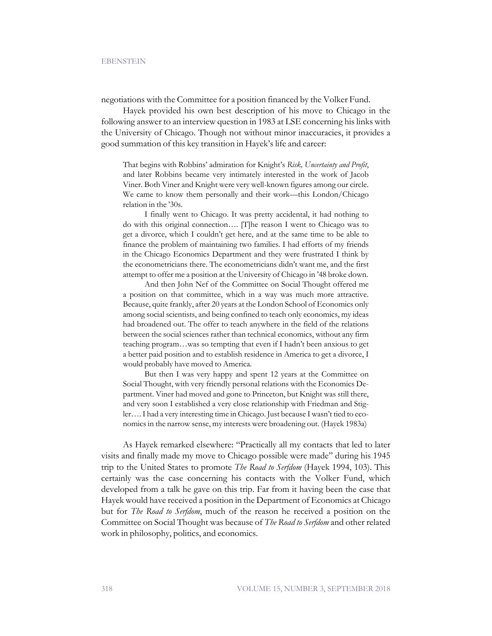negotiations with the Committee for a position financed by the Volker Fund.

Hayek provided his own best description of his move to Chicago in the following answer to an interview question in 1983 at LSE concerning his links with the University of Chicago. Though not without minor inaccuracies, it provides a good summation of this key transition in Hayek's life and career:

That begins with Robbins' admiration for Knight's *Risk, Uncertainty and Profit*, and later Robbins became very intimately interested in the work of Jacob Viner. Both Viner and Knight were very well-known figures among our circle. We came to know them personally and their work—this London/Chicago relation in the '30s.

I finally went to Chicago. It was pretty accidental, it had nothing to do with this original connection…. [T]he reason I went to Chicago was to get a divorce, which I couldn't get here, and at the same time to be able to finance the problem of maintaining two families. I had efforts of my friends in the Chicago Economics Department and they were frustrated I think by the econometricians there. The econometricians didn't want me, and the first attempt to offer me a position at the University of Chicago in '48 broke down.

And then John Nef of the Committee on Social Thought offered me a position on that committee, which in a way was much more attractive. Because, quite frankly, after 20 years at the London School of Economics only among social scientists, and being confined to teach only economics, my ideas had broadened out. The offer to teach anywhere in the field of the relations between the social sciences rather than technical economics, without any firm teaching program…was so tempting that even if I hadn't been anxious to get a better paid position and to establish residence in America to get a divorce, I would probably have moved to America.

But then I was very happy and spent 12 years at the Committee on Social Thought, with very friendly personal relations with the Economics Department. Viner had moved and gone to Princeton, but Knight was still there, and very soon I established a very close relationship with Friedman and Stigler…. I had a very interesting time in Chicago. Just because I wasn't tied to economics in the narrow sense, my interests were broadening out. (Hayek 1983a)

As Hayek remarked elsewhere: "Practically all my contacts that led to later visits and finally made my move to Chicago possible were made" during his 1945 trip to the United States to promote *The Road to Serfdom* (Hayek 1994, 103). This certainly was the case concerning his contacts with the Volker Fund, which developed from a talk he gave on this trip. Far from it having been the case that Hayek would have received a position in the Department of Economics at Chicago but for *The Road to Serfdom*, much of the reason he received a position on the Committee on Social Thought was because of *The Road to Serfdom* and other related work in philosophy, politics, and economics.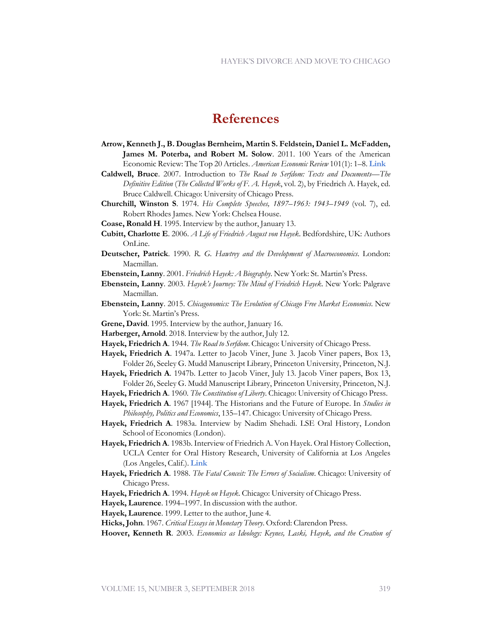### **References**

- **Arrow, Kenneth J., B. Douglas Bernheim, Martin S. Feldstein, Daniel L. McFadden, James M. Poterba, and Robert M. Solow**. 2011. 100 Years of the American Economic Review: The Top 20 Articles. *American Economic Review* 101(1): 1–8. **[Link](https://pubs.aeaweb.org/doi/pdfplus/10.1257/aer.101.1.1)**
- **Caldwell, Bruce**. 2007. Introduction to *The Road to Serfdom: Texts and Documents—The Definitive Edition* (*The Collected Works of F. A. Hayek*, vol. 2), by Friedrich A. Hayek, ed. Bruce Caldwell. Chicago: University of Chicago Press.
- **Churchill, Winston S**. 1974. *His Complete Speeches, 1897–1963: 1943–1949* (vol. 7), ed. Robert Rhodes James. New York: Chelsea House.
- **Coase, Ronald H**. 1995. Interview by the author, January 13.
- **Cubitt, Charlotte E**. 2006. *A Life of Friedrich August von Hayek*. Bedfordshire, UK: Authors OnLine.
- **Deutscher, Patrick**. 1990. *R. G. Hawtrey and the Development of Macroeconomics*. London: Macmillan.
- **Ebenstein, Lanny**. 2001. *Friedrich Hayek: A Biography*. New York: St. Martin's Press.
- **Ebenstein, Lanny**. 2003. *Hayek's Journey: The Mind of Friedrich Hayek*. New York: Palgrave Macmillan.
- **Ebenstein, Lanny**. 2015. *Chicagonomics: The Evolution of Chicago Free Market Economics*. New York: St. Martin's Press.
- **Grene, David**. 1995. Interview by the author, January 16.
- **Harberger, Arnold**. 2018. Interview by the author, July 12.
- **Hayek, Friedrich A**. 1944. *The Road to Serfdom*. Chicago: University of Chicago Press.
- **Hayek, Friedrich A**. 1947a. Letter to Jacob Viner, June 3. Jacob Viner papers, Box 13, Folder 26, Seeley G. Mudd Manuscript Library, Princeton University, Princeton, N.J.
- **Hayek, Friedrich A**. 1947b. Letter to Jacob Viner, July 13. Jacob Viner papers, Box 13, Folder 26, Seeley G. Mudd Manuscript Library, Princeton University, Princeton, N.J.
- **Hayek, Friedrich A**. 1960. *The Constitution of Liberty*. Chicago: University of Chicago Press.
- **Hayek, Friedrich A**. 1967 [1944]. The Historians and the Future of Europe. In *Studies in Philosophy, Politics and Economics*, 135–147. Chicago: University of Chicago Press.
- **Hayek, Friedrich A**. 1983a. Interview by Nadim Shehadi. LSE Oral History, London School of Economics (London).
- **Hayek, Friedrich A**. 1983b. Interview of Friedrich A. Von Hayek. Oral History Collection, UCLA Center for Oral History Research, University of California at Los Angeles (Los Angeles, Calif.). **[Link](http://oralhistory.library.ucla.edu/Browse.do?descCvPk=28075)**
- **Hayek, Friedrich A**. 1988. *The Fatal Conceit: The Errors of Socialism*. Chicago: University of Chicago Press.
- **Hayek, Friedrich A**. 1994. *Hayek on Hayek*. Chicago: University of Chicago Press.
- **Hayek, Laurence**. 1994–1997. In discussion with the author.
- **Hayek, Laurence**. 1999. Letter to the author, June 4.
- **Hicks, John**. 1967. *Critical Essays in Monetary Theory*. Oxford: Clarendon Press.
- **Hoover, Kenneth R**. 2003. *Economics as Ideology: Keynes, Laski, Hayek, and the Creation of*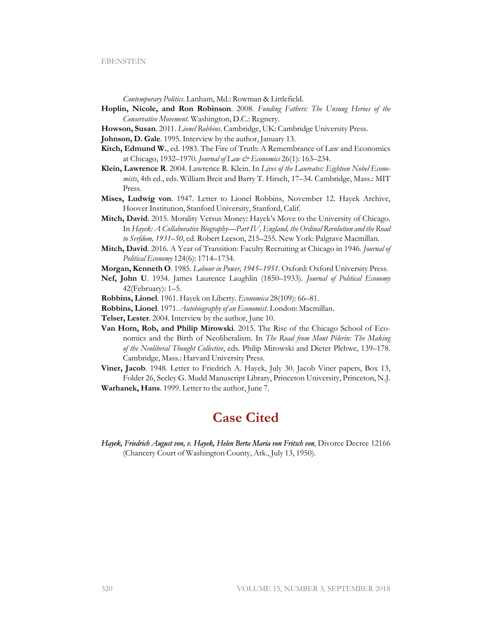*Contemporary Politics*. Lanham, Md.: Rowman & Littlefield.

- **Hoplin, Nicole, and Ron Robinson**. 2008. *Funding Fathers: The Unsung Heroes of the Conservative Movement*. Washington, D.C.: Regnery.
- **Howson, Susan**. 2011. *Lionel Robbins*. Cambridge, UK: Cambridge University Press.
- **Johnson, D. Gale**. 1995. Interview by the author, January 13.
- **Kitch, Edmund W.**, ed. 1983. The Fire of Truth: A Remembrance of Law and Economics at Chicago, 1932–1970. *Journal of Law & Economics* 26(1): 163–234.
- **Klein, Lawrence R**. 2004. Lawrence R. Klein. In *Lives of the Laureates: Eighteen Nobel Economists*, 4th ed., eds. William Breit and Barry T. Hirsch, 17–34. Cambridge, Mass.: MIT Press.
- **Mises, Ludwig von**. 1947. Letter to Lionel Robbins, November 12. Hayek Archive, Hoover Institution, Stanford University, Stanford, Calif.
- **Mitch, David**. 2015. Morality Versus Money: Hayek's Move to the University of Chicago. In *Hayek: A Collaborative Biography—Part IV, England, the Ordinal Revolution and the Road to Serfdom, 1931–50*, ed. Robert Leeson, 215–255. New York: Palgrave Macmillan.
- **Mitch, David**. 2016. A Year of Transition: Faculty Recruiting at Chicago in 1946. *Journal of Political Economy* 124(6): 1714–1734.
- **Morgan, Kenneth O**. 1985. *Labour in Power, 1945–1951*. Oxford: Oxford University Press.
- **Nef, John U**. 1934. James Laurence Laughlin (1850–1933). *Journal of Political Economy* 42(February): 1–5.
- **Robbins, Lionel**. 1961. Hayek on Liberty. *Economica* 28(109): 66–81.
- **Robbins, Lionel**. 1971. *Autobiography of an Economist*. London: Macmillan.
- **Telser, Lester**. 2004. Interview by the author, June 10.
- **Van Horn, Rob, and Philip Mirowski**. 2015. The Rise of the Chicago School of Economics and the Birth of Neoliberalism. In *The Road from Mont Pèlerin: The Making of the Neoliberal Thought Collective*, eds. Philip Mirowski and Dieter Plehwe, 139–178. Cambridge, Mass.: Harvard University Press.
- **Viner, Jacob**. 1948. Letter to Friedrich A. Hayek, July 30. Jacob Viner papers, Box 13, Folder 26, Seeley G. Mudd Manuscript Library, Princeton University, Princeton, N.J. **Warhanek, Hans**. 1999. Letter to the author, June 7.
	- **Case Cited**
- Hayek, Friedrich August von, v. Hayek, Helen Berta Maria von Fritsch von, Divorce Decree 12166 (Chancery Court of Washington County, Ark., July 13, 1950).